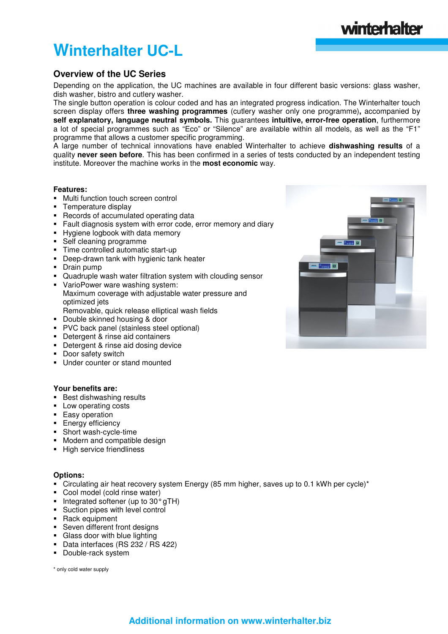# **Winterhalter UC-L**

# **Overview of the UC Series**

Depending on the application, the UC machines are available in four different basic versions: glass washer, dish washer, bistro and cutlery washer.

The single button operation is colour coded and has an integrated progress indication. The Winterhalter touch screen display offers **three washing programmes** (cutlery washer only one programme)**,** accompanied by **self explanatory, language neutral symbols.** This guarantees **intuitive, error-free operation**, furthermore a lot of special programmes such as "Eco" or "Silence" are available within all models, as well as the "F1" programme that allows a customer specific programming.

A large number of technical innovations have enabled Winterhalter to achieve **dishwashing results** of a quality **never seen before**. This has been confirmed in a series of tests conducted by an independent testing institute. Moreover the machine works in the **most economic** way.

## **Features:**

- Multi function touch screen control
- Temperature display
- Records of accumulated operating data
- Fault diagnosis system with error code, error memory and diary
- **Hygiene logbook with data memory**
- Self cleaning programme
- Time controlled automatic start-up
- **-** Deep-drawn tank with hygienic tank heater
- Drain pump
- Quadruple wash water filtration system with clouding sensor
- VarioPower ware washing system: Maximum coverage with adjustable water pressure and optimized jets Removable, quick release elliptical wash fields
- Double skinned housing & door
- PVC back panel (stainless steel optional)
- Detergent & rinse aid containers
- Detergent & rinse aid dosing device
- Door safety switch
- **Under counter or stand mounted**

### **Your benefits are:**

- **Best dishwashing results**
- Low operating costs
- **Easy operation**
- **Energy efficiency**
- Short wash-cycle-time
- Modern and compatible design
- **High service friendliness**

### **Options:**

- Circulating air heat recovery system Energy (85 mm higher, saves up to 0.1 kWh per cycle)\*
- Cool model (cold rinse water)
- $\blacksquare$  Integrated softener (up to 30 $^{\circ}$  gTH)
- Suction pipes with level control
- **Rack equipment**
- Seven different front designs
- Glass door with blue lighting
- Data interfaces (RS 232 / RS 422)
- **-** Double-rack system

\* only cold water supply



winterhalter